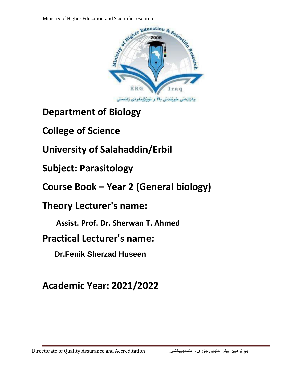

**Department of Biology** 

**College of Science** 

**University of Salahaddin/Erbil** 

**Subject: Parasitology** 

**Course Book – Year 2 (General biology)**

**Theory Lecturer's name:** 

 **Assist. Prof. Dr. Sherwan T. Ahmed** 

**Practical Lecturer's name:** 

 **Dr.Fenik Sherzad Huseen** 

**Academic Year: 2021/2022**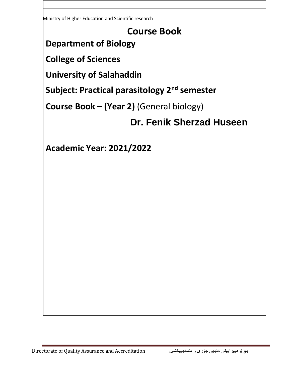Ministry of Higher Education and Scientific research

## **Course Book**

# **Department of Biology**

**College of Sciences**

**University of Salahaddin**

**Subject: Practical parasitology 2nd semester**

**Course Book – (Year 2)** (General biology)

## **Dr. Fenik Sherzad Huseen**

**Academic Year: 2021/2022**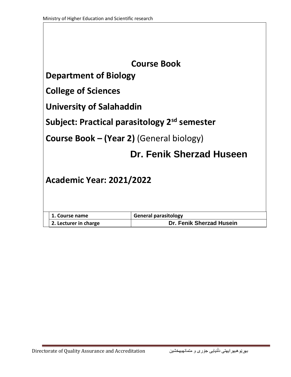| <b>Course Book</b>                                       |  |  |  |
|----------------------------------------------------------|--|--|--|
| <b>Department of Biology</b>                             |  |  |  |
| <b>College of Sciences</b>                               |  |  |  |
| <b>University of Salahaddin</b>                          |  |  |  |
| Subject: Practical parasitology 2 <sup>sd</sup> semester |  |  |  |
| <b>Course Book – (Year 2)</b> (General biology)          |  |  |  |
| Dr. Fenik Sherzad Huseen                                 |  |  |  |
| <b>Academic Year: 2021/2022</b>                          |  |  |  |
| <b>General parasitology</b><br>1. Course name            |  |  |  |
| Dr. Fenik Sherzad Husein<br>2. Lecturer in charge        |  |  |  |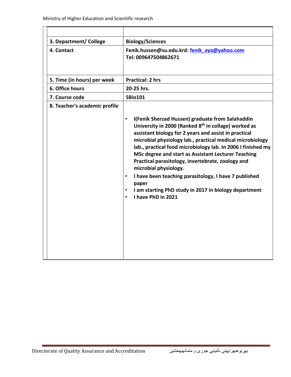| 3. Department/ College        | <b>Biology/Sciences</b>                                                                                                                                                                                                                                                                                                                                                                                                                                                                                                                                                                                                    |
|-------------------------------|----------------------------------------------------------------------------------------------------------------------------------------------------------------------------------------------------------------------------------------------------------------------------------------------------------------------------------------------------------------------------------------------------------------------------------------------------------------------------------------------------------------------------------------------------------------------------------------------------------------------------|
| 4. Contact                    | Fenik.hussen@su.edu.krd: fenik aya@yahoo.com<br>Tel: 009647504862671                                                                                                                                                                                                                                                                                                                                                                                                                                                                                                                                                       |
| 5. Time (in hours) per week   | <b>Practical: 2 hrs</b>                                                                                                                                                                                                                                                                                                                                                                                                                                                                                                                                                                                                    |
| 6. Office hours               | 20-25 hrs.                                                                                                                                                                                                                                                                                                                                                                                                                                                                                                                                                                                                                 |
| 7. Course code                | <b>SBio101</b>                                                                                                                                                                                                                                                                                                                                                                                                                                                                                                                                                                                                             |
| 8. Teacher's academic profile | I(Fenik Sherzad Hussen) graduate from Salahaddin<br>$\bullet$<br>University in 2000 (Ranked 8 <sup>th</sup> in collage) worked as<br>assistant biology for 2 years and assist in practical<br>microbial physiology lab., practical medical microbiology<br>lab., practical food microbiology lab. In 2006 I finished my<br>MSc degree and start as Assistant Lecturer Teaching<br>Practical parasitology, invertebrate, zoology and<br>microbial physiology.<br>I have been teaching parasitology, I have 7 published<br>$\bullet$<br>paper<br>I am starting PhD study in 2017 in biology department<br>I have PhD in 2021 |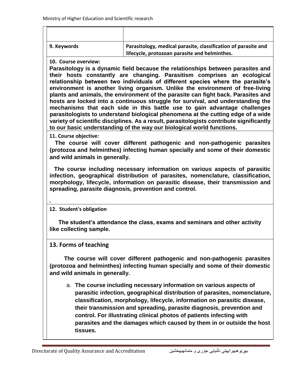| 9. Keywords | Parasitology, medical parasite, classification of parasite and<br>lifecycle, protozoan parasite and helminthes. |
|-------------|-----------------------------------------------------------------------------------------------------------------|

#### **10. Course overview:**

**Parasitology is a dynamic field because the relationships between parasites and their hosts constantly are changing. Parasitism comprises an ecological relationship between two individuals of different species where the parasite's environment is another living organism. Unlike the environment of free-living plants and animals, the environment of the parasite can fight back. Parasites and hosts are locked into a continuous struggle for survival, and understanding the mechanisms that each side in this battle use to gain advantage challenges parasitologists to understand biological phenomena at the cutting edge of a wide variety of scientific disciplines. As a result, parasitologists contribute significantly to our basic understanding of the way our biological world functions.**

**11. Course objective:**

 **The course will cover different pathogenic and non-pathogenic parasites (protozoa and helminthes) infecting human specially and some of their domestic and wild animals in generally.**

 **The course including necessary information on various aspects of parasitic infection, geographical distribution of parasites, nomenclature, classification, morphology, lifecycle, information on parasitic disease, their transmission and spreading, parasite diagnosis, prevention and control.** 

#### **12. Student's obligation**

**.**

 **The student's attendance the class, exams and seminars and other activity like collecting sample.**

#### **13. Forms of teaching**

 **The course will cover different pathogenic and non-pathogenic parasites (protozoa and helminthes) infecting human specially and some of their domestic and wild animals in generally.**

a. **The course including necessary information on various aspects of parasitic infection, geographical distribution of parasites, nomenclature, classification, morphology, lifecycle, information on parasitic disease, their transmission and spreading, parasite diagnosis, prevention and control. For illustrating clinical photos of patients infecting with parasites and the damages which caused by them in or outside the host tissues.**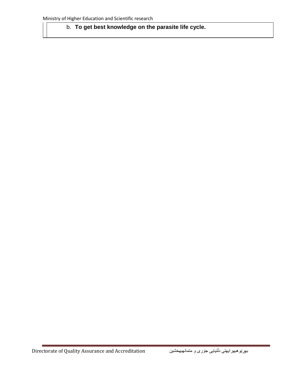### b. **To get best knowledge on the parasite life cycle.**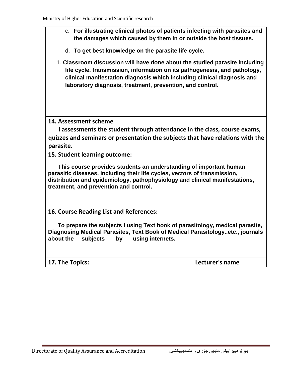- c. **For illustrating clinical photos of patients infecting with parasites and the damages which caused by them in or outside the host tissues.**
- d. **To get best knowledge on the parasite life cycle.**
- 1. **Classroom discussion will have done about the studied parasite including life cycle, transmission, information on its pathogenesis, and pathology, clinical manifestation diagnosis which including clinical diagnosis and laboratory diagnosis, treatment, prevention, and control.**

#### **14. Assessment scheme**

 **I assessments the student through attendance in the class, course exams, quizzes and seminars or presentation the subjects that have relations with the parasite.**

**15. Student learning outcome:**

 **This course provides students an understanding of important human parasitic diseases, including their life cycles, vectors of transmission, distribution and epidemiology, pathophysiology and clinical manifestations, treatment, and prevention and control.** 

**16. Course Reading List and References:**

 **To prepare the subjects I using Text book of parasitology, medical parasite, Diagnosing Medical Parasites, Text Book of Medical Parasitology..etc., journals about the subjects by using internets.** 

| 17. The Topics: | Lecturer's name |
|-----------------|-----------------|
|-----------------|-----------------|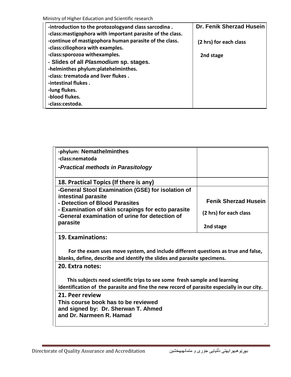| -introduction to the protozologyand class sarcodina.<br>-class: mastigophora with important parasite of the class. | Dr. Fenik Sherzad Husein |
|--------------------------------------------------------------------------------------------------------------------|--------------------------|
| -continue of mastigophora human parasite of the class.<br>-class:ciliophora with examples.                         | (2 hrs) for each class   |
| -class:sporozoa withexamples.                                                                                      | 2nd stage                |
| - Slides of all Plasmodium sp. stages.                                                                             |                          |
| -helminthes phylum:platehelminthes.                                                                                |                          |
| -class: trematoda and liver flukes.                                                                                |                          |
| -intestinal flukes.                                                                                                |                          |
| -lung flukes.                                                                                                      |                          |
| -blood flukes.                                                                                                     |                          |
| -class:cestoda.                                                                                                    |                          |

| -phylum: Nemathelminthes                                                                                                                                                |                             |  |  |
|-------------------------------------------------------------------------------------------------------------------------------------------------------------------------|-----------------------------|--|--|
| -class:nematoda                                                                                                                                                         |                             |  |  |
| -Practical methods in Parasitology                                                                                                                                      |                             |  |  |
|                                                                                                                                                                         |                             |  |  |
| 18. Practical Topics (If there is any)                                                                                                                                  |                             |  |  |
| -General Stool Examination (GSE) for isolation of                                                                                                                       |                             |  |  |
| intestinal parasite<br>- Detection of Blood Parasites                                                                                                                   | <b>Fenik Sherzad Husein</b> |  |  |
| - Examination of skin scrapings for ecto parasite<br>-General examination of urine for detection of                                                                     | (2 hrs) for each class      |  |  |
| parasite                                                                                                                                                                | 2nd stage                   |  |  |
| 19. Examinations:                                                                                                                                                       |                             |  |  |
| For the exam uses move system, and include different questions as true and false,<br>blanks, define, describe and identify the slides and parasite specimens.           |                             |  |  |
| 20. Extra notes:                                                                                                                                                        |                             |  |  |
| This subjects need scientific trips to see some fresh sample and learning<br>identification of the parasite and fine the new record of parasite especially in our city. |                             |  |  |
| 21. Peer review                                                                                                                                                         |                             |  |  |
| This course book has to be reviewed                                                                                                                                     |                             |  |  |
| and signed by: Dr. Sherwan T. Ahmed                                                                                                                                     |                             |  |  |
| and Dr. Narmeen R. Hamad                                                                                                                                                |                             |  |  |
|                                                                                                                                                                         |                             |  |  |